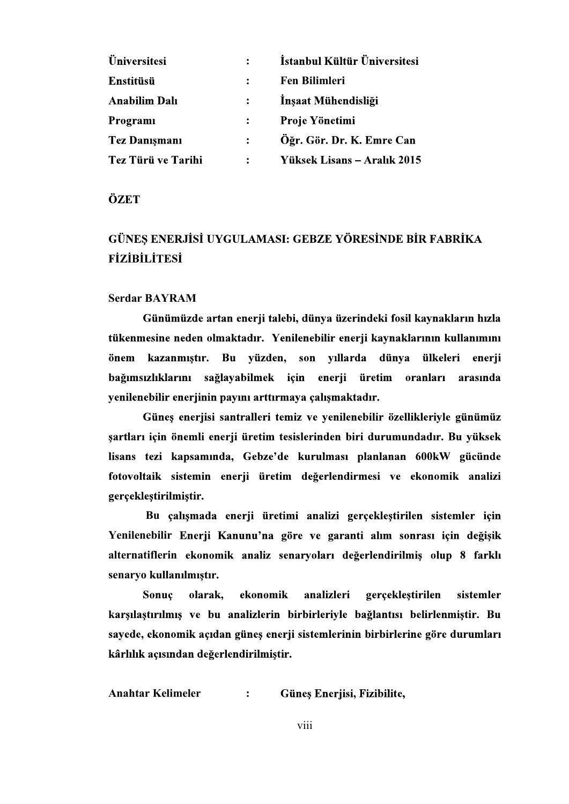| <b>Üniversitesi</b>  | $\mathbf{L}$   | İstanbul Kültür Üniversitesi |
|----------------------|----------------|------------------------------|
| Enstitüsü            | $\ddot{\cdot}$ | <b>Fen Bilimleri</b>         |
| <b>Anabilim Dalı</b> | $\mathbf{L}$   | Inşaat Mühendisliği          |
| Programi             |                | Proje Yönetimi               |
| <b>Tez Danışmanı</b> | $\ddot{\cdot}$ | Öğr. Gör. Dr. K. Emre Can    |
| Tez Türü ve Tarihi   | $\ddot{\cdot}$ | Yüksek Lisans – Aralık 2015  |

ÖZET

## GÜNES ENERJİSİ UYGULAMASI: GEBZE YÖRESİNDE BİR FABRİKA **FİZİBİLİTESİ**

## Serdar BAYRAM

Günümüzde artan enerji talebi, dünya üzerindeki fosil kaynakların hızla tükenmesine neden olmaktadır. Yenilenebilir enerji kaynaklarının kullanımını önem kazanmıştır. Bu yüzden, son yıllarda dünya ülkeleri enerji bağımsızlıklarını sağlayabilmek için enerji üretim oranları arasında yenilenebilir enerjinin payını arttırmaya çalışmaktadır.

Güneş enerjisi santralleri temiz ve yenilenebilir özellikleriyle günümüz sartları için önemli enerji üretim tesislerinden biri durumundadır. Bu yüksek lisans tezi kapsamında, Gebze'de kurulması planlanan 600kW gücünde fotovoltaik sistemin enerji üretim değerlendirmesi ve ekonomik analizi gerçekleştirilmiştir.

Bu çalışmada enerji üretimi analizi gerçekleştirilen sistemler için Yenilenebilir Enerji Kanunu'na göre ve garanti alım sonrası için değişik alternatiflerin ekonomik analiz senaryoları değerlendirilmiş olup 8 farklı senaryo kullanılmıştır.

Sonuc olarak. ekonomik analizleri gerceklestirilen sistemler karşılaştırılmış ve bu analizlerin birbirleriyle bağlantısı belirlenmiştir. Bu sayede, ekonomik açıdan günes enerji sistemlerinin birbirlerine göre durumları kârlılık açısından değerlendirilmiştir.

Anahtar Kelimeler : Güneş Enerjisi, Fizibilite,